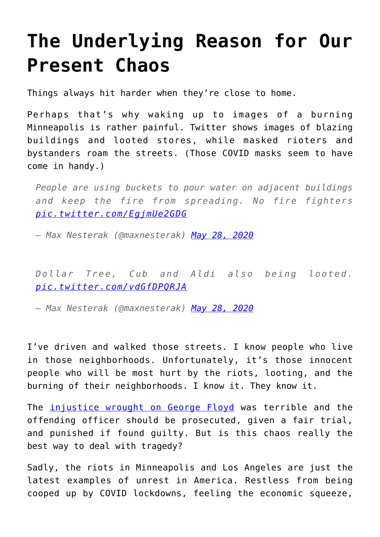## **[The Underlying Reason for Our](https://intellectualtakeout.org/2020/05/the-underlying-reason-for-our-present-chaos/) [Present Chaos](https://intellectualtakeout.org/2020/05/the-underlying-reason-for-our-present-chaos/)**

Things always hit harder when they're close to home.

Perhaps that's why waking up to images of a burning Minneapolis is rather painful. Twitter shows images of blazing buildings and looted stores, while masked rioters and bystanders roam the streets. (Those COVID masks seem to have come in handy.)

*People are using buckets to pour water on adjacent buildings and keep the fire from spreading. No fire fighters [pic.twitter.com/EgjmUe2GDG](https://t.co/EgjmUe2GDG)*

*— Max Nesterak (@maxnesterak) [May 28, 2020](https://twitter.com/maxnesterak/status/1265906313999024128?ref_src=twsrc%5Etfw)*

*Dollar Tree, Cub and Aldi also being looted. [pic.twitter.com/vdGfDPQRJA](https://t.co/vdGfDPQRJA)*

*— Max Nesterak (@maxnesterak) [May 28, 2020](https://twitter.com/maxnesterak/status/1265837858067107841?ref_src=twsrc%5Etfw)*

I've driven and walked those streets. I know people who live in those neighborhoods. Unfortunately, it's those innocent people who will be most hurt by the riots, looting, and the burning of their neighborhoods. I know it. They know it.

The [injustice wrought on George Floyd](https://www.intellectualtakeout.org/the-unacceptably-unjust-death-of-george-floyd/) was terrible and the offending officer should be prosecuted, given a fair trial, and punished if found guilty. But is this chaos really the best way to deal with tragedy?

Sadly, the riots in Minneapolis and Los Angeles are just the latest examples of unrest in America. Restless from being cooped up by COVID lockdowns, feeling the economic squeeze,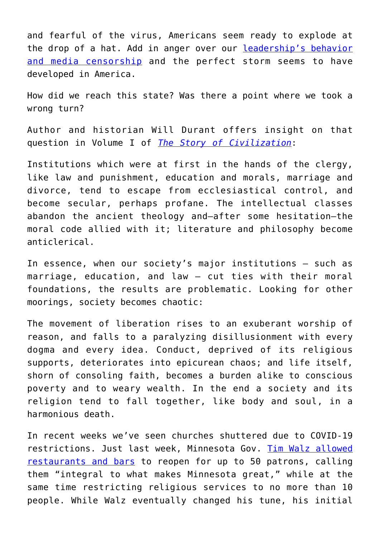and fearful of the virus, Americans seem ready to explode at the drop of a hat. Add in anger over our [leadership's behavior](https://disrn.com/news/trump-to-sign-executive-order-on-social-media-thursday-white-house) [and media censorship](https://disrn.com/news/trump-to-sign-executive-order-on-social-media-thursday-white-house) and the perfect storm seems to have developed in America.

How did we reach this state? Was there a point where we took a wrong turn?

Author and historian Will Durant offers insight on that question in Volume I of *[The Story of Civilization](https://www.amazon.com/gp/product/1567310125/ref=as_li_qf_asin_il_tl?ie=UTF8&tag=intelltakeo0d-20&creative=9325&linkCode=as2&creativeASIN=1567310125&linkId=53c2dd547ddcdb4f0788e195307c94b4)*:

Institutions which were at first in the hands of the clergy, like law and punishment, education and morals, marriage and divorce, tend to escape from ecclesiastical control, and become secular, perhaps profane. The intellectual classes abandon the ancient theology and—after some hesitation—the moral code allied with it; literature and philosophy become anticlerical.

In essence, when our society's major institutions – such as marriage, education, and law – cut ties with their moral foundations, the results are problematic. Looking for other moorings, society becomes chaotic:

The movement of liberation rises to an exuberant worship of reason, and falls to a paralyzing disillusionment with every dogma and every idea. Conduct, deprived of its religious supports, deteriorates into epicurean chaos; and life itself, shorn of consoling faith, becomes a burden alike to conscious poverty and to weary wealth. In the end a society and its religion tend to fall together, like body and soul, in a harmonious death.

In recent weeks we've seen churches shuttered due to COVID-19 restrictions. Just last week, Minnesota Gov. [Tim Walz allowed](https://www.intellectualtakeout.org/faced-with-legal-pushback-governors-are-backing-down/) [restaurants and bars](https://www.intellectualtakeout.org/faced-with-legal-pushback-governors-are-backing-down/) to reopen for up to 50 patrons, calling them "integral to what makes Minnesota great," while at the same time restricting religious services to no more than 10 people. While Walz eventually changed his tune, his initial